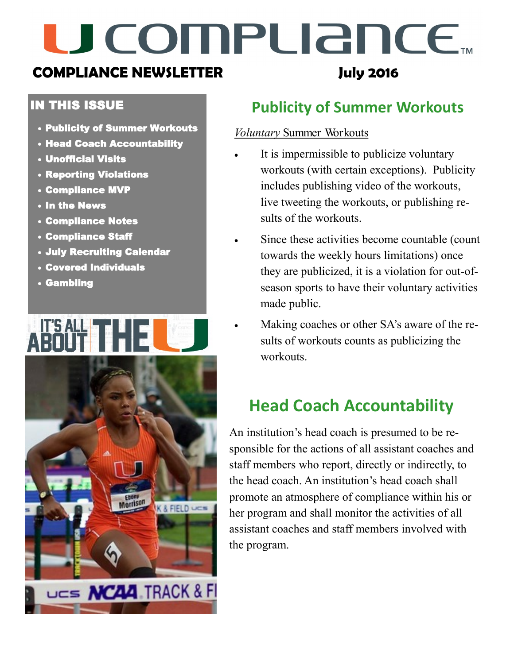# U COMPUANCE.

### **COMPLIANCE NEWSLETTER**

#### IN THIS ISSUE

- Publicity of Summer Workouts
- Head Coach Accountability
- Unofficial Visits
- Reporting Violations
- Compliance MVP
- In the News
- Compliance Notes
- Compliance Staff
- July Recruiting Calendar
- Covered Individuals
- Gambling



# **Publicity of Summer Workouts**

**July 2016**

#### *Voluntary* Summer Workouts

- It is impermissible to publicize voluntary workouts (with certain exceptions). Publicity includes publishing video of the workouts, live tweeting the workouts, or publishing results of the workouts.
	- Since these activities become countable (count towards the weekly hours limitations) once they are publicized, it is a violation for out-ofseason sports to have their voluntary activities made public.
- Making coaches or other SA's aware of the results of workouts counts as publicizing the workouts.

## **Head Coach Accountability**

An institution's head coach is presumed to be responsible for the actions of all assistant coaches and staff members who report, directly or indirectly, to the head coach. An institution's head coach shall promote an atmosphere of compliance within his or her program and shall monitor the activities of all assistant coaches and staff members involved with the program.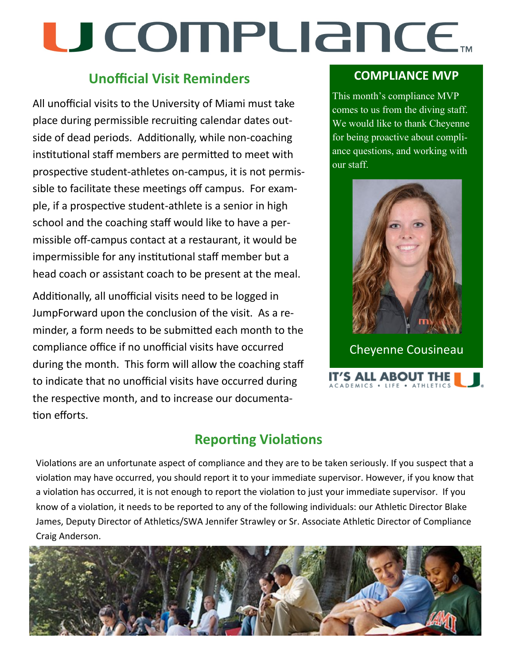# U COMPUANCE...

### **Unofficial Visit Reminders**

All unofficial visits to the University of Miami must take place during permissible recruiting calendar dates outside of dead periods. Additionally, while non-coaching institutional staff members are permitted to meet with prospective student-athletes on-campus, it is not permissible to facilitate these meetings off campus. For example, if a prospective student-athlete is a senior in high school and the coaching staff would like to have a permissible off-campus contact at a restaurant, it would be impermissible for any institutional staff member but a head coach or assistant coach to be present at the meal.

Additionally, all unofficial visits need to be logged in JumpForward upon the conclusion of the visit. As a reminder, a form needs to be submitted each month to the compliance office if no unofficial visits have occurred during the month. This form will allow the coaching staff to indicate that no unofficial visits have occurred during the respective month, and to increase our documentation efforts.

#### **COMPLIANCE MVP**

This month's compliance MVP comes to us from the diving staff. We would like to thank Cheyenne for being proactive about compliance questions, and working with our staff.



Cheyenne Cousineau

IT'S ALL ABOUT THE I DEMICS . LIFE . ATHLETIC

### **Reporting Violations**

Violations are an unfortunate aspect of compliance and they are to be taken seriously. If you suspect that a violation may have occurred, you should report it to your immediate supervisor. However, if you know that a violation has occurred, it is not enough to report the violation to just your immediate supervisor. If you know of a violation, it needs to be reported to any of the following individuals: our Athletic Director Blake James, Deputy Director of Athletics/SWA Jennifer Strawley or Sr. Associate Athletic Director of Compliance Craig Anderson.

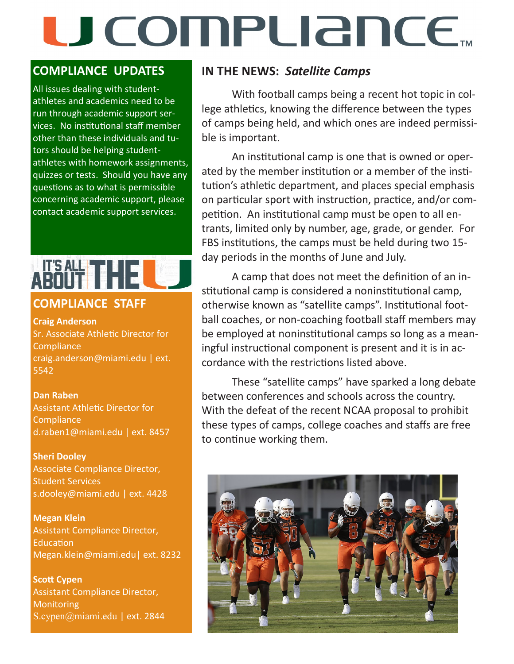# U COMPLIANCE.

#### **COMPLIANCE UPDATES**

All issues dealing with studentathletes and academics need to be run through academic support services. No institutional staff member other than these individuals and tutors should be helping studentathletes with homework assignments, quizzes or tests. Should you have any questions as to what is permissible concerning academic support, please contact academic support services.

#### **COMPLIANCE STAFF**

**Craig Anderson**  Sr. Associate Athletic Director for **Compliance** craig.anderson@miami.edu | ext. 5542

#### **Dan Raben**  Assistant Athletic Director for **Compliance**

d.raben1@miami.edu | ext. 8457

#### **Sheri Dooley**

Associate Compliance Director, Student Services s.dooley@miami.edu | ext. 4428

**Megan Klein** Assistant Compliance Director, Education Megan.klein@miami.edu| ext. 8232

**Scott Cypen** Assistant Compliance Director, **Monitoring** S.cypen@miami.edu | ext. 2844

#### **IN THE NEWS:** *Satellite Camps*

With football camps being a recent hot topic in college athletics, knowing the difference between the types of camps being held, and which ones are indeed permissible is important.

An institutional camp is one that is owned or operated by the member institution or a member of the institution's athletic department, and places special emphasis on particular sport with instruction, practice, and/or competition. An institutional camp must be open to all entrants, limited only by number, age, grade, or gender. For FBS institutions, the camps must be held during two 15 day periods in the months of June and July.

A camp that does not meet the definition of an institutional camp is considered a noninstitutional camp, otherwise known as "satellite camps". Institutional football coaches, or non-coaching football staff members may be employed at noninstitutional camps so long as a meaningful instructional component is present and it is in accordance with the restrictions listed above.

These "satellite camps" have sparked a long debate between conferences and schools across the country. With the defeat of the recent NCAA proposal to prohibit these types of camps, college coaches and staffs are free to continue working them.